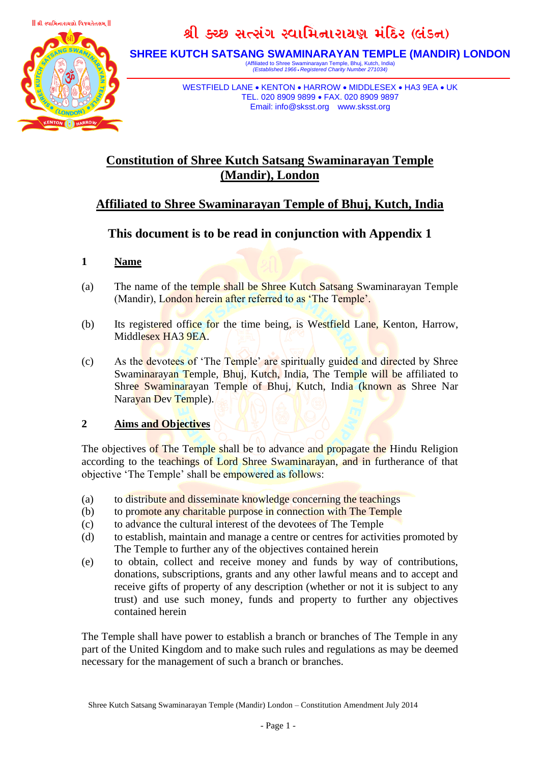

# શ્રી ક્ચ્છ સત્સંગ સ્વામિનારાયણ મંદિર (લંડન)

**SHREE KUTCH SATSANG SWAMINARAYAN TEMPLE (MANDIR) LONDON**

(Affiliated to Shree Swaminarayan Temple, Bhuj, Kutch, India) *(Established 1966* • *Registered Charity Number 271034)*

WESTFIELD LANE • KENTON • HARROW • MIDDLESEX • HA3 9EA • UK TEL. 020 8909 9899 • FAX. 020 8909 9897 Email: info@sksst.org www.sksst.org

# **Constitution of Shree Kutch Satsang Swaminarayan Temple (Mandir), London**

# **Affiliated to Shree Swaminarayan Temple of Bhuj, Kutch, India**

# **This document is to be read in conjunction with Appendix 1**

# **1 Name**

- (a) The name of the temple shall be Shree Kutch Satsang Swaminarayan Temple (Mandir), London herein after referred to as 'The Temple'.
- (b) Its registered office for the time being, is Westfield Lane, Kenton, Harrow, Middlesex HA3 9EA.
- (c) As the devotees of 'The Temple' are spiritually guided and directed by Shree Swaminarayan Temple, Bhuj, Kutch, India, The Temple will be affiliated to Shree Swaminarayan Temple of Bhuj, Kutch, India (known as Shree Nar Narayan Dev Temple).

## **2 Aims and Objectives**

The objectives of The Temple shall be to advance and propagate the Hindu Religion according to the teachings of Lord Shree Swaminarayan, and in furtherance of that objective 'The Temple' shall be empowered as follows:

- (a) to distribute and disseminate knowledge concerning the teachings
- (b) to promote any charitable purpose in connection with The Temple
- (c) to advance the cultural interest of the devotees of The Temple
- (d) to establish, maintain and manage a centre or centres for activities promoted by The Temple to further any of the objectives contained herein
- (e) to obtain, collect and receive money and funds by way of contributions, donations, subscriptions, grants and any other lawful means and to accept and receive gifts of property of any description (whether or not it is subject to any trust) and use such money, funds and property to further any objectives contained herein

The Temple shall have power to establish a branch or branches of The Temple in any part of the United Kingdom and to make such rules and regulations as may be deemed necessary for the management of such a branch or branches.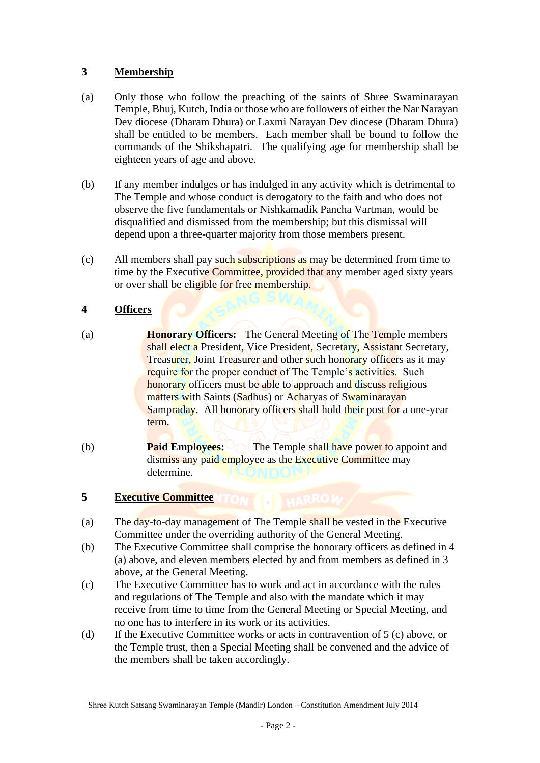# **3 Membership**

- (a) Only those who follow the preaching of the saints of Shree Swaminarayan Temple, Bhuj, Kutch, India or those who are followers of either the Nar Narayan Dev diocese (Dharam Dhura) or Laxmi Narayan Dev diocese (Dharam Dhura) shall be entitled to be members. Each member shall be bound to follow the commands of the Shikshapatri. The qualifying age for membership shall be eighteen years of age and above.
- (b) If any member indulges or has indulged in any activity which is detrimental to The Temple and whose conduct is derogatory to the faith and who does not observe the five fundamentals or Nishkamadik Pancha Vartman, would be disqualified and dismissed from the membership; but this dismissal will depend upon a three-quarter majority from those members present.
- (c) All members shall pay such subscriptions as may be determined from time to time by the Executive Committee, provided that any member aged sixty years or over shall be eligible for free membership.

## **4 Officers**

- (a) **Honorary Officers:** The General Meeting of The Temple members shall elect a President, Vice President, Secretary, Assistant Secretary, Treasurer, Joint Treasurer and other such honorary officers as it may require for the proper conduct of The Temple's activities. Such honorary officers must be able to approach and discuss religious matters with Saints (Sadhus) or Acharyas of Swaminarayan Sampraday. All honorary officers shall hold their post for a one-year term.
- (b) **Paid Employees:** The Temple shall have power to appoint and dismiss any paid employee as the Executive Committee may determine.

# **5 Executive Committee**

- (a) The day-to-day management of The Temple shall be vested in the Executive Committee under the overriding authority of the General Meeting.
- (b) The Executive Committee shall comprise the honorary officers as defined in 4 (a) above, and eleven members elected by and from members as defined in 3 above, at the General Meeting.
- (c) The Executive Committee has to work and act in accordance with the rules and regulations of The Temple and also with the mandate which it may receive from time to time from the General Meeting or Special Meeting, and no one has to interfere in its work or its activities.
- (d) If the Executive Committee works or acts in contravention of 5 (c) above, or the Temple trust, then a Special Meeting shall be convened and the advice of the members shall be taken accordingly.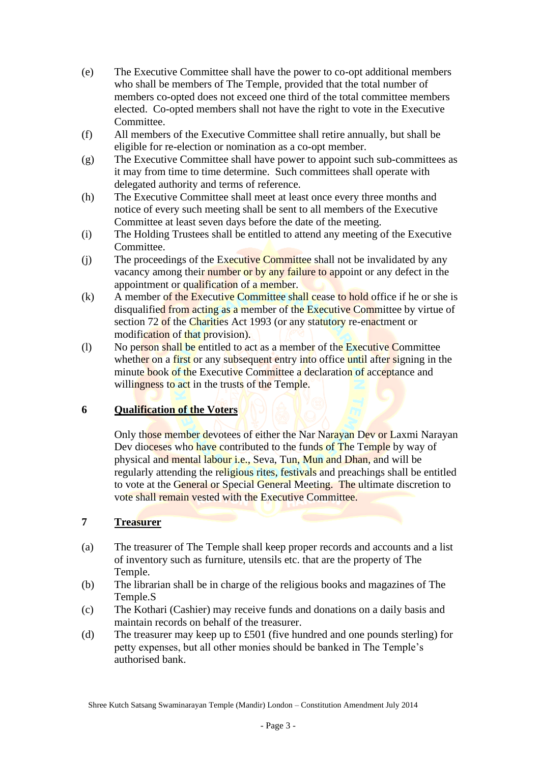- (e) The Executive Committee shall have the power to co-opt additional members who shall be members of The Temple, provided that the total number of members co-opted does not exceed one third of the total committee members elected. Co-opted members shall not have the right to vote in the Executive Committee.
- (f) All members of the Executive Committee shall retire annually, but shall be eligible for re-election or nomination as a co-opt member.
- (g) The Executive Committee shall have power to appoint such sub-committees as it may from time to time determine. Such committees shall operate with delegated authority and terms of reference.
- (h) The Executive Committee shall meet at least once every three months and notice of every such meeting shall be sent to all members of the Executive Committee at least seven days before the date of the meeting.
- (i) The Holding Trustees shall be entitled to attend any meeting of the Executive Committee.
- (j) The proceedings of the Executive Committee shall not be invalidated by any vacancy among their number or by any failure to appoint or any defect in the appointment or qualification of a member.
- $(k)$  A member of the Executive Committee shall cease to hold office if he or she is disqualified from acting as a member of the Executive Committee by virtue of section 72 of the Charities Act 1993 (or any statutory re-enactment or modification of that provision).
- (l) No person shall be entitled to act as a member of the Executive Committee whether on a first or any subsequent entry into office until after signing in the minute book of the Executive Committee a declaration of acceptance and willingness to act in the trusts of the Temple.

## **6 Qualification of the Voters**

Only those member devotees of either the Nar Narayan Dev or Laxmi Narayan Dev dioceses who have contributed to the funds of The Temple by way of physical and mental labour i.e., Seva, Tun, Mun and Dhan, and will be regularly attending the religious rites, festivals and preachings shall be entitled to vote at the General or Special General Meeting. The ultimate discretion to vote shall remain vested with the Executive Committee.

## **7 Treasurer**

- (a) The treasurer of The Temple shall keep proper records and accounts and a list of inventory such as furniture, utensils etc. that are the property of The Temple.
- (b) The librarian shall be in charge of the religious books and magazines of The Temple.S
- (c) The Kothari (Cashier) may receive funds and donations on a daily basis and maintain records on behalf of the treasurer.
- (d) The treasurer may keep up to £501 (five hundred and one pounds sterling) for petty expenses, but all other monies should be banked in The Temple's authorised bank.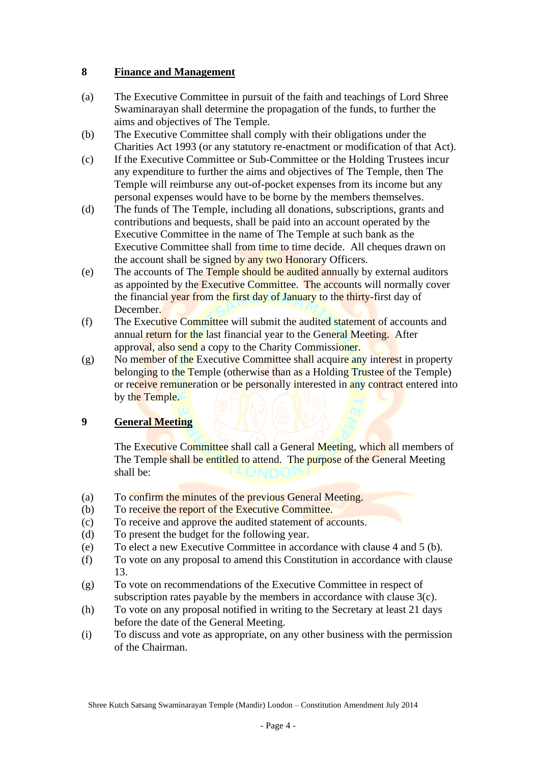# **8 Finance and Management**

- (a) The Executive Committee in pursuit of the faith and teachings of Lord Shree Swaminarayan shall determine the propagation of the funds, to further the aims and objectives of The Temple.
- (b) The Executive Committee shall comply with their obligations under the Charities Act 1993 (or any statutory re-enactment or modification of that Act).
- (c) If the Executive Committee or Sub-Committee or the Holding Trustees incur any expenditure to further the aims and objectives of The Temple, then The Temple will reimburse any out-of-pocket expenses from its income but any personal expenses would have to be borne by the members themselves.
- (d) The funds of The Temple, including all donations, subscriptions, grants and contributions and bequests, shall be paid into an account operated by the Executive Committee in the name of The Temple at such bank as the Executive Committee shall from time to time decide. All cheques drawn on the account shall be signed by any two Honorary Officers.
- (e) The accounts of The Temple should be audited annually by external auditors as appointed by the Executive Committee. The accounts will normally cover the financial year from the first day of January to the thirty-first day of December.
- (f) The Executive Committee will submit the audited statement of accounts and annual return for the last financial year to the General Meeting. After approval, also send a copy to the Charity Commissioner.
- $(g)$  No member of the Executive Committee shall acquire any interest in property belonging to the Temple (otherwise than as a Holding Trustee of the Temple) or receive remuneration or be personally interested in any contract entered into by the Temple.

# **9 General Meeting**

The Executive Committee shall call a General Meeting, which all members of The Temple shall be entitled to attend. The purpose of the General Meeting shall be:

- (a) To confirm the minutes of the previous General Meeting.
- (b) To receive the report of the Executive Committee.
- (c) To receive and approve the audited statement of accounts.
- (d) To present the budget for the following year.
- (e) To elect a new Executive Committee in accordance with clause 4 and 5 (b).
- (f) To vote on any proposal to amend this Constitution in accordance with clause 13.
- (g) To vote on recommendations of the Executive Committee in respect of subscription rates payable by the members in accordance with clause 3(c).
- (h) To vote on any proposal notified in writing to the Secretary at least 21 days before the date of the General Meeting.
- (i) To discuss and vote as appropriate, on any other business with the permission of the Chairman.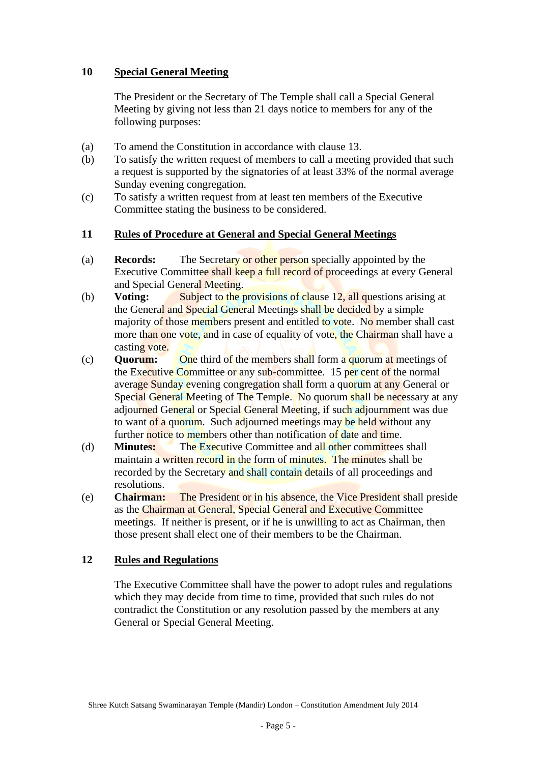# **10 Special General Meeting**

The President or the Secretary of The Temple shall call a Special General Meeting by giving not less than 21 days notice to members for any of the following purposes:

- (a) To amend the Constitution in accordance with clause 13.
- (b) To satisfy the written request of members to call a meeting provided that such a request is supported by the signatories of at least 33% of the normal average Sunday evening congregation.
- (c) To satisfy a written request from at least ten members of the Executive Committee stating the business to be considered.

#### **11 Rules of Procedure at General and Special General Meetings**

- (a) **Records:** The Secretary or other person specially appointed by the Executive Committee shall keep a full record of proceedings at every General and Special General Meeting.
- (b) **Voting:** Subject to the provisions of clause 12, all questions arising at the General and Special General Meetings shall be decided by a simple majority of those members present and entitled to vote. No member shall cast more than one vote, and in case of equality of vote, the Chairman shall have a casting vote.
- (c) **Quorum:** One third of the members shall form a quorum at meetings of the Executive Committee or any sub-committee. 15 per cent of the normal average Sunday evening congregation shall form a quorum at any General or Special General Meeting of The Temple. No quorum shall be necessary at any adjourned General or Special General Meeting, if such adjournment was due to want of a quorum. Such adjourned meetings may be held without any further notice to members other than notification of date and time.
- (d) **Minutes:** The Executive Committee and all other committees shall maintain a written record in the form of minutes. The minutes shall be recorded by the Secretary and shall contain details of all proceedings and resolutions.
- (e) **Chairman:** The President or in his absence, the Vice President shall preside as the Chairman at General, Special General and Executive Committee meetings. If neither is present, or if he is unwilling to act as Chairman, then those present shall elect one of their members to be the Chairman.

#### **12 Rules and Regulations**

The Executive Committee shall have the power to adopt rules and regulations which they may decide from time to time, provided that such rules do not contradict the Constitution or any resolution passed by the members at any General or Special General Meeting.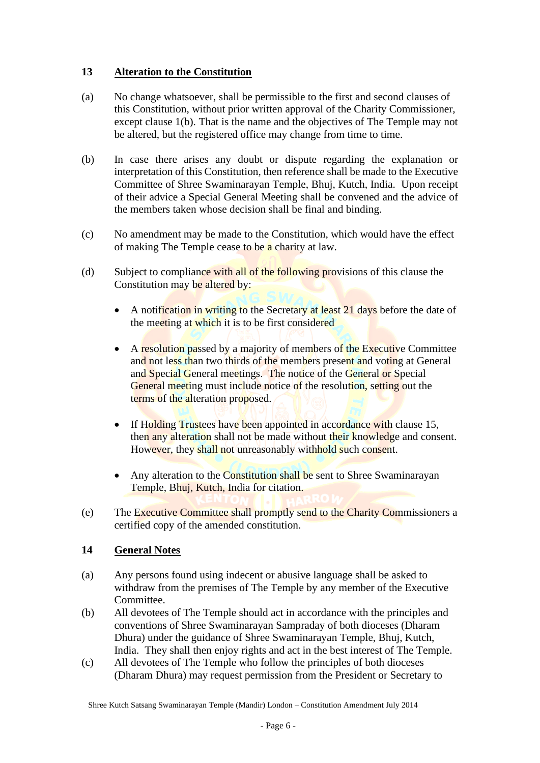# **13 Alteration to the Constitution**

- (a) No change whatsoever, shall be permissible to the first and second clauses of this Constitution, without prior written approval of the Charity Commissioner, except clause 1(b). That is the name and the objectives of The Temple may not be altered, but the registered office may change from time to time.
- (b) In case there arises any doubt or dispute regarding the explanation or interpretation of this Constitution, then reference shall be made to the Executive Committee of Shree Swaminarayan Temple, Bhuj, Kutch, India. Upon receipt of their advice a Special General Meeting shall be convened and the advice of the members taken whose decision shall be final and binding.
- (c) No amendment may be made to the Constitution, which would have the effect of making The Temple cease to be a charity at law.
- (d) Subject to compliance with all of the following provisions of this clause the Constitution may be altered by:
	- A notification in writing to the Secretary at least 21 days before the date of the meeting at which it is to be first considered
	- A resolution passed by a majority of members of the Executive Committee and not less than two thirds of the members present and voting at General and Special General meetings. The notice of the General or Special General meeting must include notice of the resolution, setting out the terms of the alteration proposed.
	- If Holding Trustees have been appointed in accordance with clause 15, then any alteration shall not be made without their knowledge and consent. However, they shall not unreasonably withhold such consent.
	- Any alteration to the Constitution shall be sent to Shree Swaminarayan Temple, Bhuj, Kutch, India for citation.
- (e) The Executive Committee shall promptly send to the Charity Commissioners a certified copy of the amended constitution.

## **14 General Notes**

- (a) Any persons found using indecent or abusive language shall be asked to withdraw from the premises of The Temple by any member of the Executive Committee.
- (b) All devotees of The Temple should act in accordance with the principles and conventions of Shree Swaminarayan Sampraday of both dioceses (Dharam Dhura) under the guidance of Shree Swaminarayan Temple, Bhuj, Kutch, India. They shall then enjoy rights and act in the best interest of The Temple.
- (c) All devotees of The Temple who follow the principles of both dioceses (Dharam Dhura) may request permission from the President or Secretary to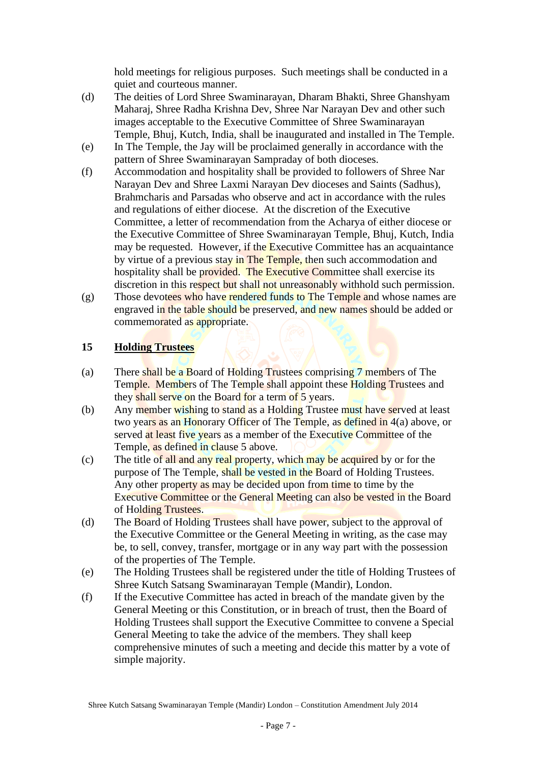hold meetings for religious purposes. Such meetings shall be conducted in a quiet and courteous manner.

- (d) The deities of Lord Shree Swaminarayan, Dharam Bhakti, Shree Ghanshyam Maharaj, Shree Radha Krishna Dev, Shree Nar Narayan Dev and other such images acceptable to the Executive Committee of Shree Swaminarayan Temple, Bhuj, Kutch, India, shall be inaugurated and installed in The Temple.
- (e) In The Temple, the Jay will be proclaimed generally in accordance with the pattern of Shree Swaminarayan Sampraday of both dioceses.
- (f) Accommodation and hospitality shall be provided to followers of Shree Nar Narayan Dev and Shree Laxmi Narayan Dev dioceses and Saints (Sadhus), Brahmcharis and Parsadas who observe and act in accordance with the rules and regulations of either diocese. At the discretion of the Executive Committee, a letter of recommendation from the Acharya of either diocese or the Executive Committee of Shree Swaminarayan Temple, Bhuj, Kutch, India may be requested. However, if the Executive Committee has an acquaintance by virtue of a previous stay in The Temple, then such accommodation and hospitality shall be provided. The Executive Committee shall exercise its discretion in this respect but shall not unreasonably withhold such permission.
- $(g)$  Those devotees who have rendered funds to The Temple and whose names are engraved in the table should be preserved, and new names should be added or commemorated as appropriate.

# **15 Holding Trustees**

- (a) There shall be a Board of Holding Trustees comprising 7 members of The Temple. Members of The Temple shall appoint these Holding Trustees and they shall serve on the Board for a term of 5 years.
- (b) Any member wishing to stand as a Holding Trustee must have served at least two years as an Honorary Officer of The Temple, as defined in 4(a) above, or served at least five years as a member of the Executive Committee of the Temple, as defined in clause 5 above.
- (c) The title of all and any real property, which may be acquired by or for the purpose of The Temple, shall be vested in the Board of Holding Trustees. Any other property as may be decided upon from time to time by the Executive Committee or the General Meeting can also be vested in the Board of Holding Trustees.
- (d) The Board of Holding Trustees shall have power, subject to the approval of the Executive Committee or the General Meeting in writing, as the case may be, to sell, convey, transfer, mortgage or in any way part with the possession of the properties of The Temple.
- (e) The Holding Trustees shall be registered under the title of Holding Trustees of Shree Kutch Satsang Swaminarayan Temple (Mandir), London.
- (f) If the Executive Committee has acted in breach of the mandate given by the General Meeting or this Constitution, or in breach of trust, then the Board of Holding Trustees shall support the Executive Committee to convene a Special General Meeting to take the advice of the members. They shall keep comprehensive minutes of such a meeting and decide this matter by a vote of simple majority.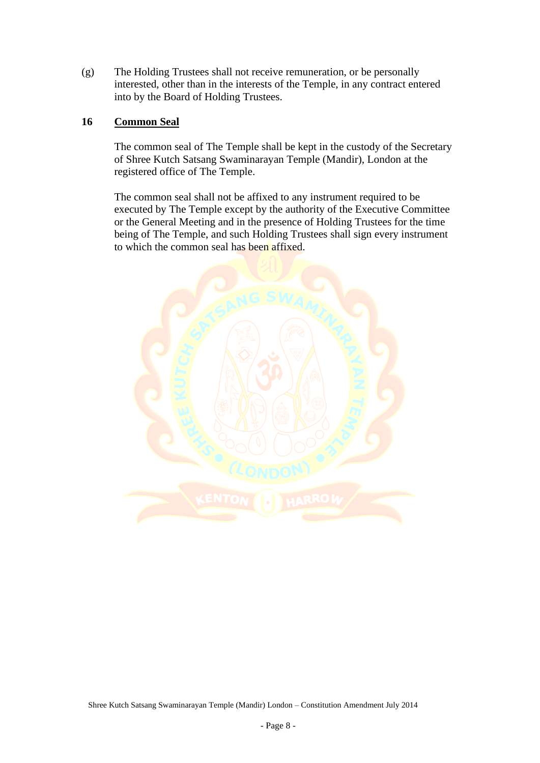(g) The Holding Trustees shall not receive remuneration, or be personally interested, other than in the interests of the Temple, in any contract entered into by the Board of Holding Trustees.

#### **16 Common Seal**

The common seal of The Temple shall be kept in the custody of the Secretary of Shree Kutch Satsang Swaminarayan Temple (Mandir), London at the registered office of The Temple.

The common seal shall not be affixed to any instrument required to be executed by The Temple except by the authority of the Executive Committee or the General Meeting and in the presence of Holding Trustees for the time being of The Temple, and such Holding Trustees shall sign every instrument to which the common seal has been affixed.

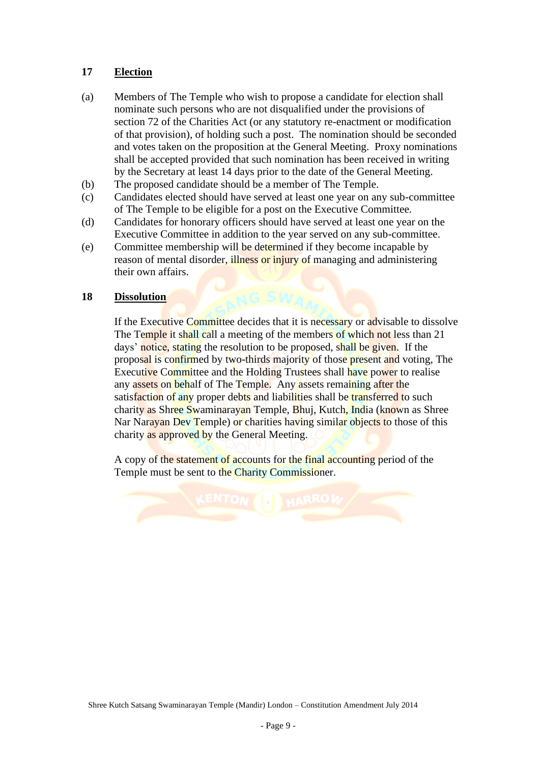# **17 Election**

- (a) Members of The Temple who wish to propose a candidate for election shall nominate such persons who are not disqualified under the provisions of section 72 of the Charities Act (or any statutory re-enactment or modification of that provision), of holding such a post. The nomination should be seconded and votes taken on the proposition at the General Meeting. Proxy nominations shall be accepted provided that such nomination has been received in writing by the Secretary at least 14 days prior to the date of the General Meeting.
- (b) The proposed candidate should be a member of The Temple.
- (c) Candidates elected should have served at least one year on any sub-committee of The Temple to be eligible for a post on the Executive Committee.
- (d) Candidates for honorary officers should have served at least one year on the Executive Committee in addition to the year served on any sub-committee.
- (e) Committee membership will be determined if they become incapable by reason of mental disorder, illness or injury of managing and administering their own affairs.

#### **18 Dissolution**

If the Executive Committee decides that it is necessary or advisable to dissolve The Temple it shall call a meeting of the members of which not less than 21 days' notice, stating the resolution to be proposed, shall be given. If the proposal is confirmed by two-thirds majority of those present and voting, The Executive Committee and the Holding Trustees shall have power to realise any assets on behalf of The Temple. Any assets remaining after the satisfaction of any proper debts and liabilities shall be transferred to such charity as Shree Swaminarayan Temple, Bhuj, Kutch, India (known as Shree Nar Narayan Dev Temple) or charities having similar objects to those of this charity as approved by the General Meeting.

A copy of the statement of accounts for the final accounting period of the Temple must be sent to the Charity Commissioner.